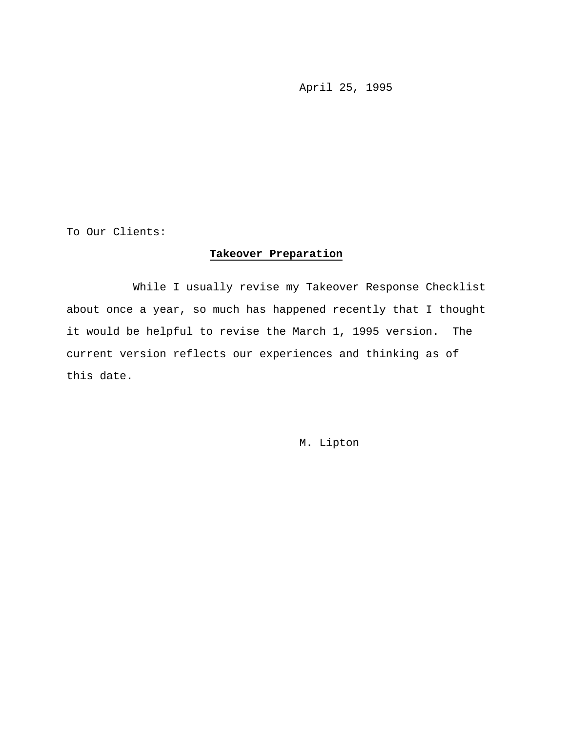April 25, 1995

To Our Clients:

# **Takeover Preparation**

While I usually revise my Takeover Response Checklist about once a year, so much has happened recently that I thought it would be helpful to revise the March 1, 1995 version. The current version reflects our experiences and thinking as of this date.

M. Lipton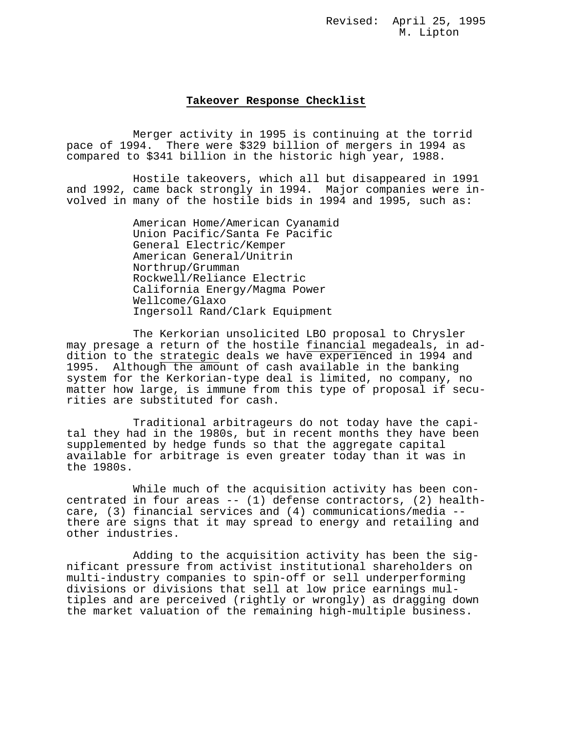Revised: April 25, 1995 M. Lipton

#### **Takeover Response Checklist**

Merger activity in 1995 is continuing at the torrid pace of 1994. There were \$329 billion of mergers in 1994 as compared to \$341 billion in the historic high year, 1988.

Hostile takeovers, which all but disappeared in 1991 and 1992, came back strongly in 1994. Major companies were involved in many of the hostile bids in 1994 and 1995, such as:

> American Home/American Cyanamid Union Pacific/Santa Fe Pacific General Electric/Kemper American General/Unitrin Northrup/Grumman Rockwell/Reliance Electric California Energy/Magma Power Wellcome/Glaxo Ingersoll Rand/Clark Equipment

The Kerkorian unsolicited LBO proposal to Chrysler may presage a return of the hostile financial megadeals, in addition to the strategic deals we have experienced in 1994 and 1995. Although the amount of cash available in the banking system for the Kerkorian-type deal is limited, no company, no matter how large, is immune from this type of proposal if securities are substituted for cash.

Traditional arbitrageurs do not today have the capital they had in the 1980s, but in recent months they have been supplemented by hedge funds so that the aggregate capital available for arbitrage is even greater today than it was in the 1980s.

While much of the acquisition activity has been concentrated in four areas -- (1) defense contractors, (2) healthcare, (3) financial services and (4) communications/media - there are signs that it may spread to energy and retailing and other industries.

Adding to the acquisition activity has been the significant pressure from activist institutional shareholders on multi-industry companies to spin-off or sell underperforming divisions or divisions that sell at low price earnings multiples and are perceived (rightly or wrongly) as dragging down the market valuation of the remaining high-multiple business.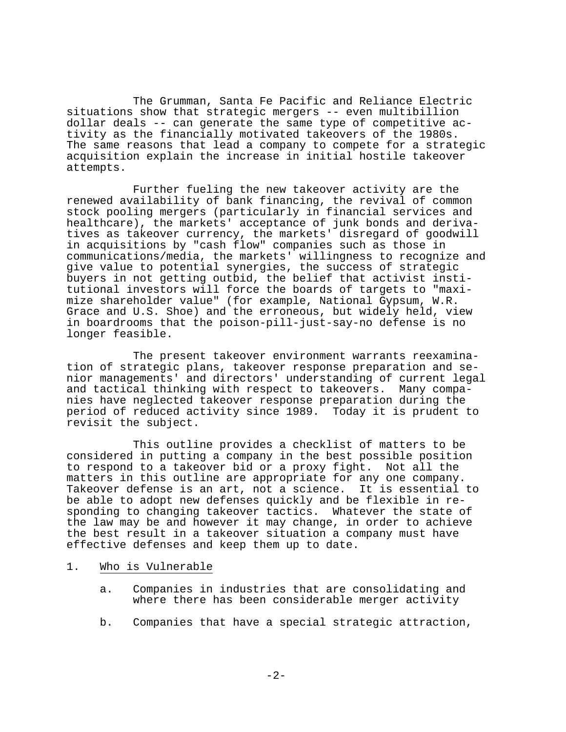The Grumman, Santa Fe Pacific and Reliance Electric situations show that strategic mergers -- even multibillion dollar deals -- can generate the same type of competitive activity as the financially motivated takeovers of the 1980s. The same reasons that lead a company to compete for a strategic acquisition explain the increase in initial hostile takeover attempts.

Further fueling the new takeover activity are the renewed availability of bank financing, the revival of common stock pooling mergers (particularly in financial services and healthcare), the markets' acceptance of junk bonds and derivatives as takeover currency, the markets' disregard of goodwill in acquisitions by "cash flow" companies such as those in communications/media, the markets' willingness to recognize and give value to potential synergies, the success of strategic buyers in not getting outbid, the belief that activist institutional investors will force the boards of targets to "maximize shareholder value" (for example, National Gypsum, W.R. Grace and U.S. Shoe) and the erroneous, but widely held, view in boardrooms that the poison-pill-just-say-no defense is no longer feasible.

The present takeover environment warrants reexamination of strategic plans, takeover response preparation and senior managements' and directors' understanding of current legal and tactical thinking with respect to takeovers. Many companies have neglected takeover response preparation during the period of reduced activity since 1989. Today it is prudent to revisit the subject.

This outline provides a checklist of matters to be considered in putting a company in the best possible position to respond to a takeover bid or a proxy fight. Not all the matters in this outline are appropriate for any one company. Takeover defense is an art, not a science. It is essential to be able to adopt new defenses quickly and be flexible in responding to changing takeover tactics. Whatever the state of the law may be and however it may change, in order to achieve the best result in a takeover situation a company must have effective defenses and keep them up to date.

### 1. Who is Vulnerable

- a. Companies in industries that are consolidating and where there has been considerable merger activity
- b. Companies that have a special strategic attraction,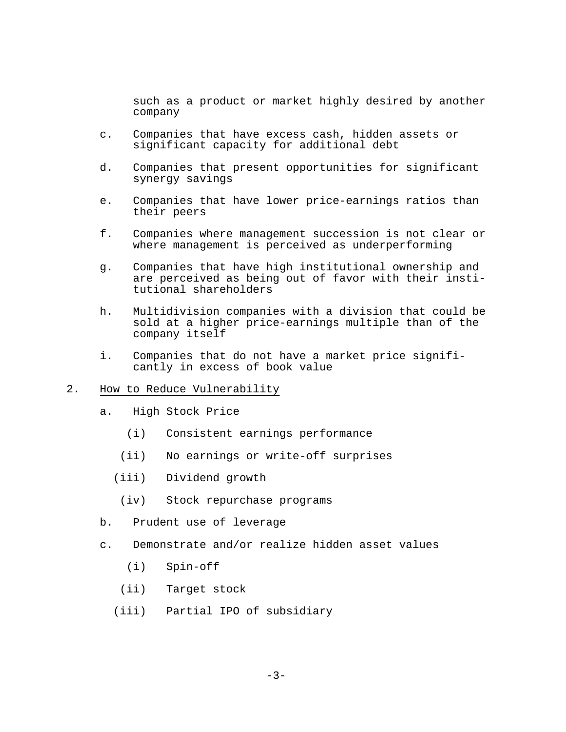such as a product or market highly desired by another company

- c. Companies that have excess cash, hidden assets or significant capacity for additional debt
- d. Companies that present opportunities for significant synergy savings
- e. Companies that have lower price-earnings ratios than their peers
- f. Companies where management succession is not clear or where management is perceived as underperforming
- g. Companies that have high institutional ownership and are perceived as being out of favor with their institutional shareholders
- h. Multidivision companies with a division that could be sold at a higher price-earnings multiple than of the company itself
- i. Companies that do not have a market price significantly in excess of book value
- 2. How to Reduce Vulnerability
	- a. High Stock Price
		- (i) Consistent earnings performance
		- (ii) No earnings or write-off surprises
		- (iii) Dividend growth
			- (iv) Stock repurchase programs
	- b. Prudent use of leverage
	- c. Demonstrate and/or realize hidden asset values
		- (i) Spin-off
		- (ii) Target stock
		- (iii) Partial IPO of subsidiary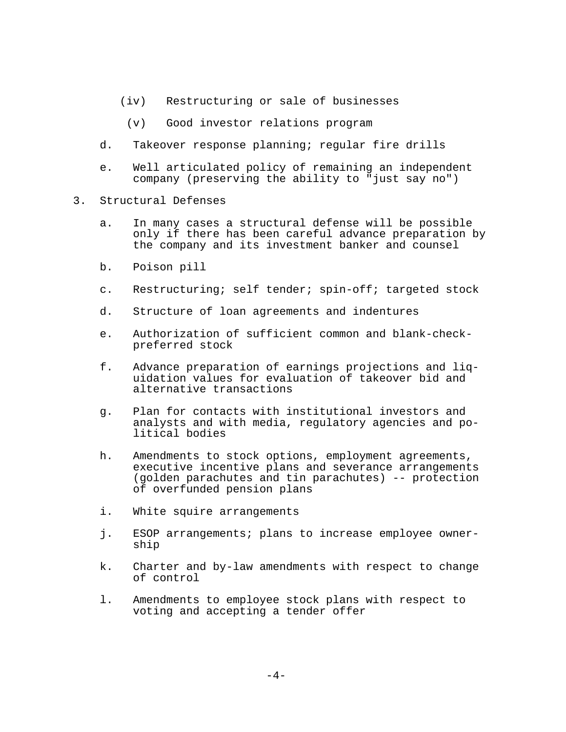- (iv) Restructuring or sale of businesses
	- (v) Good investor relations program
- d. Takeover response planning; regular fire drills
- e. Well articulated policy of remaining an independent company (preserving the ability to "just say no")
- 3. Structural Defenses
	- a. In many cases a structural defense will be possible only if there has been careful advance preparation by the company and its investment banker and counsel
	- b. Poison pill
	- c. Restructuring; self tender; spin-off; targeted stock
	- d. Structure of loan agreements and indentures
	- e. Authorization of sufficient common and blank-checkpreferred stock
	- f. Advance preparation of earnings projections and liquidation values for evaluation of takeover bid and alternative transactions
	- g. Plan for contacts with institutional investors and analysts and with media, regulatory agencies and political bodies
	- h. Amendments to stock options, employment agreements, executive incentive plans and severance arrangements (golden parachutes and tin parachutes) -- protection of overfunded pension plans
	- i. White squire arrangements
	- j. ESOP arrangements; plans to increase employee ownership
	- k. Charter and by-law amendments with respect to change of control
	- l. Amendments to employee stock plans with respect to voting and accepting a tender offer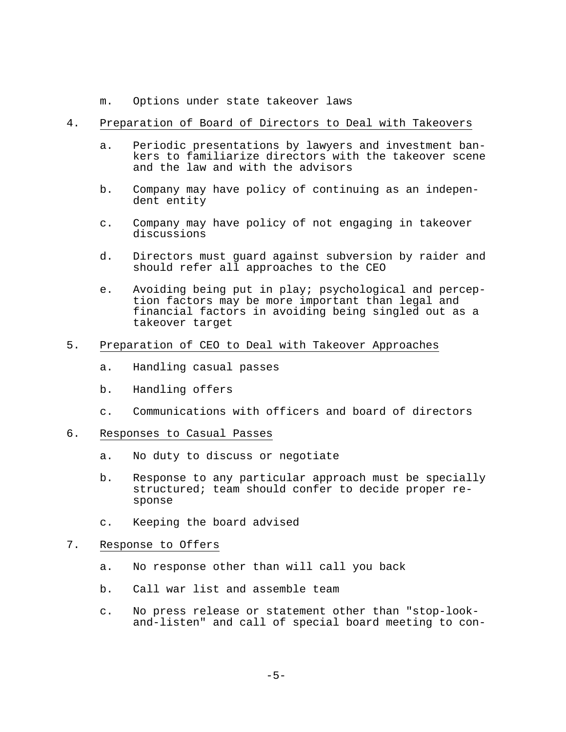m. Options under state takeover laws

# 4. Preparation of Board of Directors to Deal with Takeovers

- a. Periodic presentations by lawyers and investment bankers to familiarize directors with the takeover scene and the law and with the advisors
- b. Company may have policy of continuing as an independent entity
- c. Company may have policy of not engaging in takeover discussions
- d. Directors must guard against subversion by raider and should refer all approaches to the CEO
- e. Avoiding being put in play; psychological and perception factors may be more important than legal and financial factors in avoiding being singled out as a takeover target
- 5. Preparation of CEO to Deal with Takeover Approaches
	- a. Handling casual passes
	- b. Handling offers
	- c. Communications with officers and board of directors

### 6. Responses to Casual Passes

- a. No duty to discuss or negotiate
- b. Response to any particular approach must be specially structured; team should confer to decide proper response
- c. Keeping the board advised

## 7. Response to Offers

- a. No response other than will call you back
- b. Call war list and assemble team
- c. No press release or statement other than "stop-lookand-listen" and call of special board meeting to con-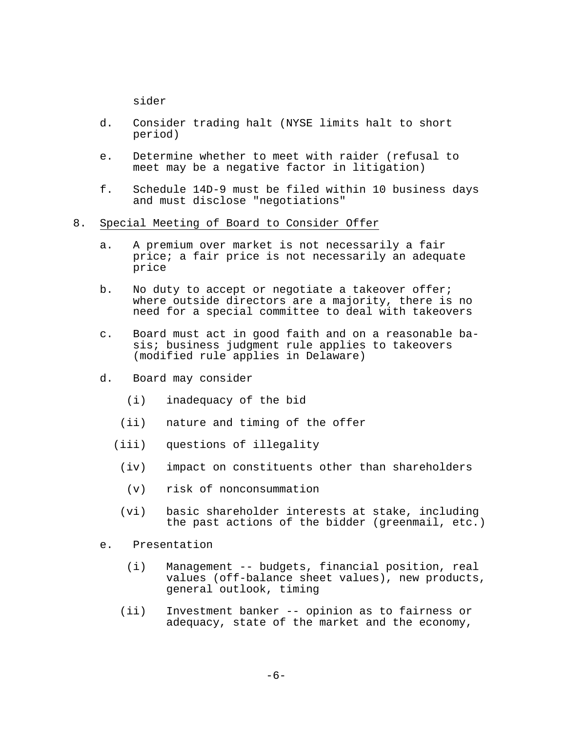sider

- d. Consider trading halt (NYSE limits halt to short period)
- e. Determine whether to meet with raider (refusal to meet may be a negative factor in litigation)
- f. Schedule 14D-9 must be filed within 10 business days and must disclose "negotiations"
- 8. Special Meeting of Board to Consider Offer
	- a. A premium over market is not necessarily a fair price; a fair price is not necessarily an adequate price
	- b. No duty to accept or negotiate a takeover offer; where outside directors are a majority, there is no need for a special committee to deal with takeovers
	- c. Board must act in good faith and on a reasonable basis; business judgment rule applies to takeovers (modified rule applies in Delaware)
	- d. Board may consider
		- (i) inadequacy of the bid
		- (ii) nature and timing of the offer
		- (iii) questions of illegality
			- (iv) impact on constituents other than shareholders
			- (v) risk of nonconsummation
			- (vi) basic shareholder interests at stake, including the past actions of the bidder (greenmail, etc.)
	- e. Presentation
		- (i) Management -- budgets, financial position, real values (off-balance sheet values), new products, general outlook, timing
		- (ii) Investment banker -- opinion as to fairness or adequacy, state of the market and the economy,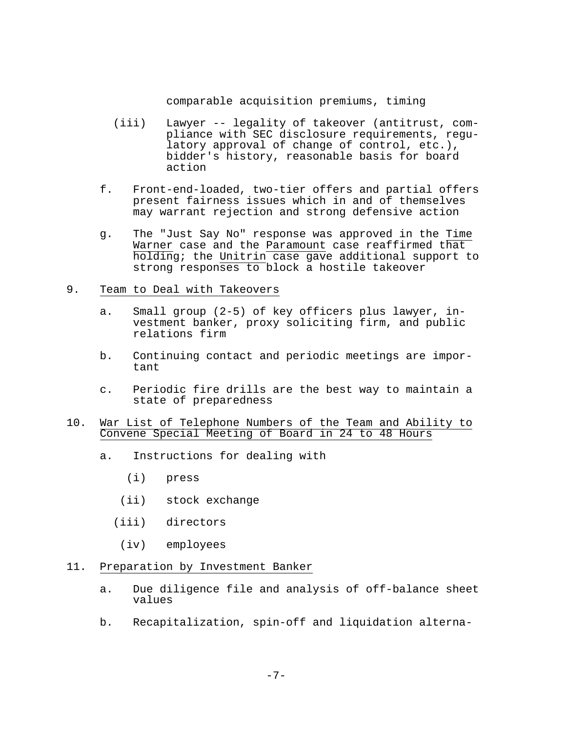comparable acquisition premiums, timing

- (iii) Lawyer -- legality of takeover (antitrust, compliance with SEC disclosure requirements, regulatory approval of change of control, etc.), bidder's history, reasonable basis for board action
- f. Front-end-loaded, two-tier offers and partial offers present fairness issues which in and of themselves may warrant rejection and strong defensive action
- g. The "Just Say No" response was approved in the Time Warner case and the Paramount case reaffirmed that holding; the Unitrin case gave additional support to strong responses to block a hostile takeover
- 9. Team to Deal with Takeovers
	- a. Small group (2-5) of key officers plus lawyer, investment banker, proxy soliciting firm, and public relations firm
	- b. Continuing contact and periodic meetings are important
	- c. Periodic fire drills are the best way to maintain a state of preparedness

### 10. War List of Telephone Numbers of the Team and Ability to Convene Special Meeting of Board in 24 to 48 Hours

- a. Instructions for dealing with
	- (i) press
	- (ii) stock exchange
	- (iii) directors
		- (iv) employees
- 11. Preparation by Investment Banker
	- a. Due diligence file and analysis of off-balance sheet values
	- b. Recapitalization, spin-off and liquidation alterna-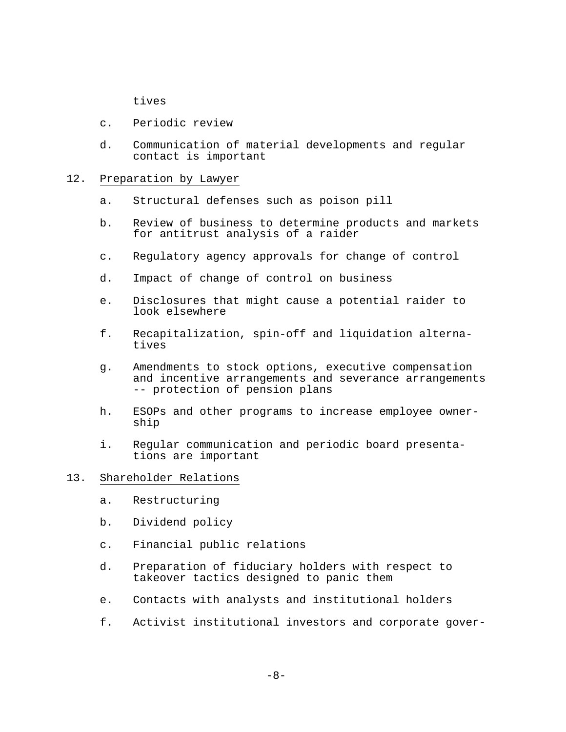tives

- c. Periodic review
- d. Communication of material developments and regular contact is important

### 12. Preparation by Lawyer

- a. Structural defenses such as poison pill
- b. Review of business to determine products and markets for antitrust analysis of a raider
- c. Regulatory agency approvals for change of control
- d. Impact of change of control on business
- e. Disclosures that might cause a potential raider to look elsewhere
- f. Recapitalization, spin-off and liquidation alternatives
- g. Amendments to stock options, executive compensation and incentive arrangements and severance arrangements -- protection of pension plans
- h. ESOPs and other programs to increase employee ownership
- i. Regular communication and periodic board presentations are important

# 13. Shareholder Relations

- a. Restructuring
- b. Dividend policy
- c. Financial public relations
- d. Preparation of fiduciary holders with respect to takeover tactics designed to panic them
- e. Contacts with analysts and institutional holders
- f. Activist institutional investors and corporate gover-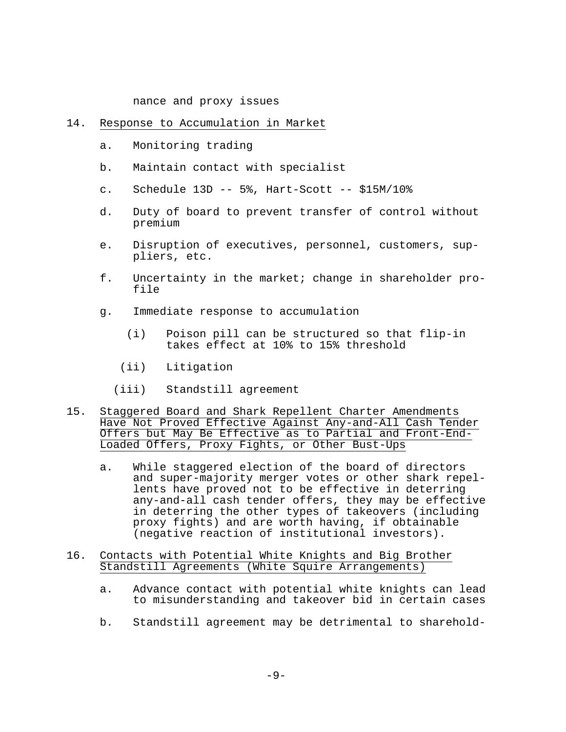nance and proxy issues

#### 14. Response to Accumulation in Market

- a. Monitoring trading
- b. Maintain contact with specialist
- c. Schedule 13D -- 5%, Hart-Scott -- \$15M/10%
- d. Duty of board to prevent transfer of control without premium
- e. Disruption of executives, personnel, customers, suppliers, etc.
- f. Uncertainty in the market; change in shareholder profile
- g. Immediate response to accumulation
	- (i) Poison pill can be structured so that flip-in takes effect at 10% to 15% threshold
	- (ii) Litigation
	- (iii) Standstill agreement
- 15. Staggered Board and Shark Repellent Charter Amendments Have Not Proved Effective Against Any-and-All Cash Tender Offers but May Be Effective as to Partial and Front-End-Loaded Offers, Proxy Fights, or Other Bust-Ups
	- a. While staggered election of the board of directors and super-majority merger votes or other shark repellents have proved not to be effective in deterring any-and-all cash tender offers, they may be effective in deterring the other types of takeovers (including proxy fights) and are worth having, if obtainable (negative reaction of institutional investors).
- 16. Contacts with Potential White Knights and Big Brother Standstill Agreements (White Squire Arrangements)
	- a. Advance contact with potential white knights can lead to misunderstanding and takeover bid in certain cases
	- b. Standstill agreement may be detrimental to sharehold-